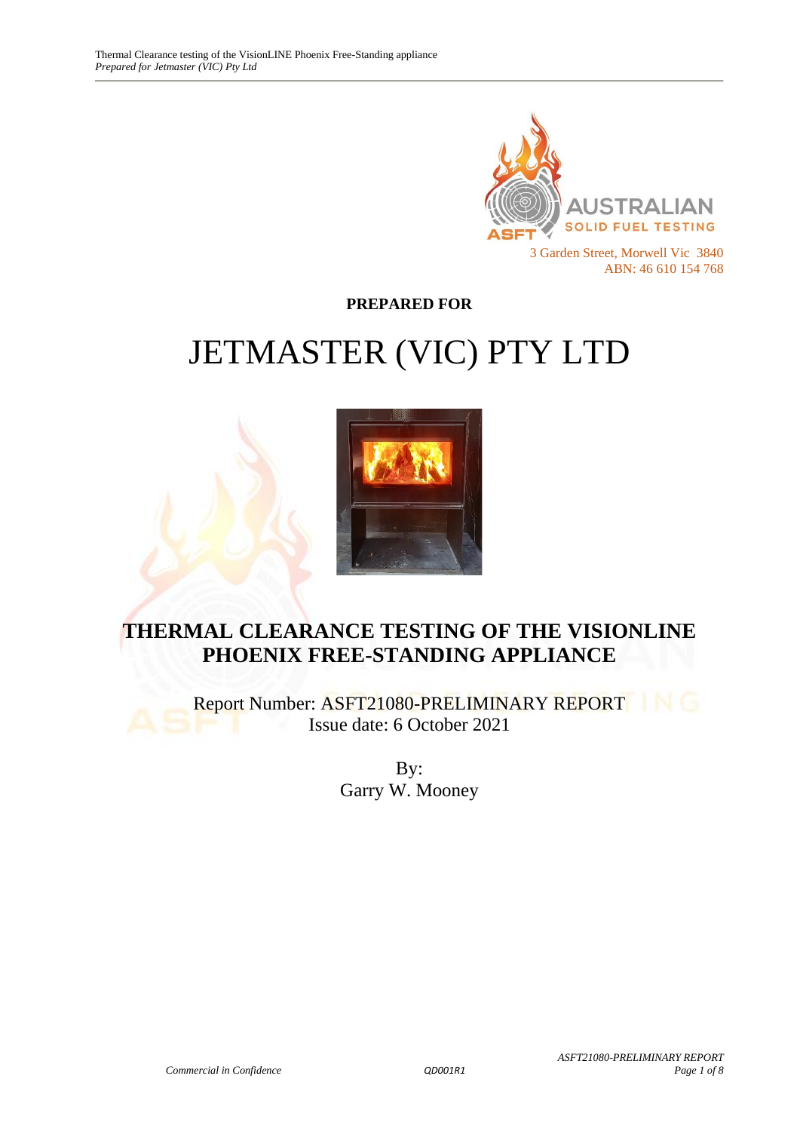

**PREPARED FOR**

# JETMASTER (VIC) PTY LTD



# **THERMAL CLEARANCE TESTING OF THE VISIONLINE PHOENIX FREE-STANDING APPLIANCE**

Report Number: ASFT21080-PRELIMINARY REPORT Issue date: 6 October 2021

> By: Garry W. Mooney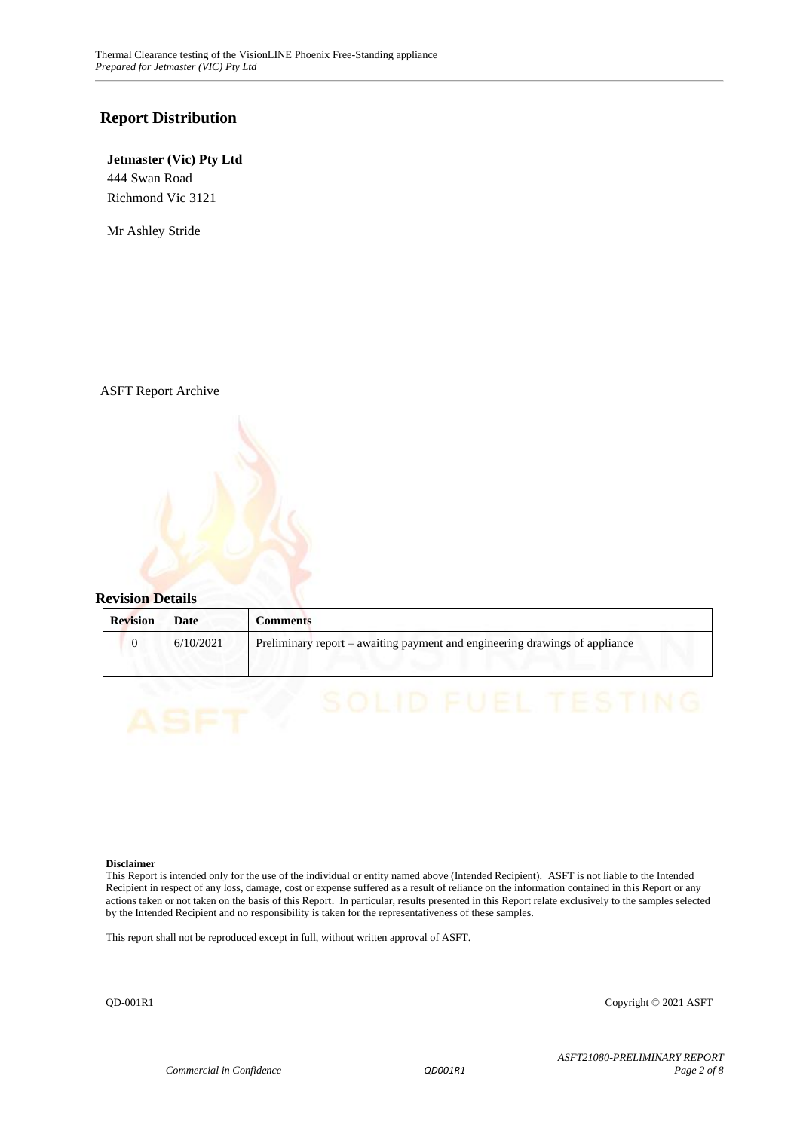#### **Report Distribution**

#### **Jetmaster (Vic) Pty Ltd** 444 Swan Road Richmond Vic 3121

Mr Ashley Stride

ASFT Report Archive



| <b>Revision</b> | Date      | Comments                                                                    |
|-----------------|-----------|-----------------------------------------------------------------------------|
|                 | 6/10/2021 | Preliminary report – awaiting payment and engineering drawings of appliance |
|                 |           |                                                                             |

#### **Disclaimer**

This Report is intended only for the use of the individual or entity named above (Intended Recipient). ASFT is not liable to the Intended Recipient in respect of any loss, damage, cost or expense suffered as a result of reliance on the information contained in this Report or any actions taken or not taken on the basis of this Report. In particular, results presented in this Report relate exclusively to the samples selected by the Intended Recipient and no responsibility is taken for the representativeness of these samples.

This report shall not be reproduced except in full, without written approval of ASFT.

QD-001R1 Copyright © 2021 ASFT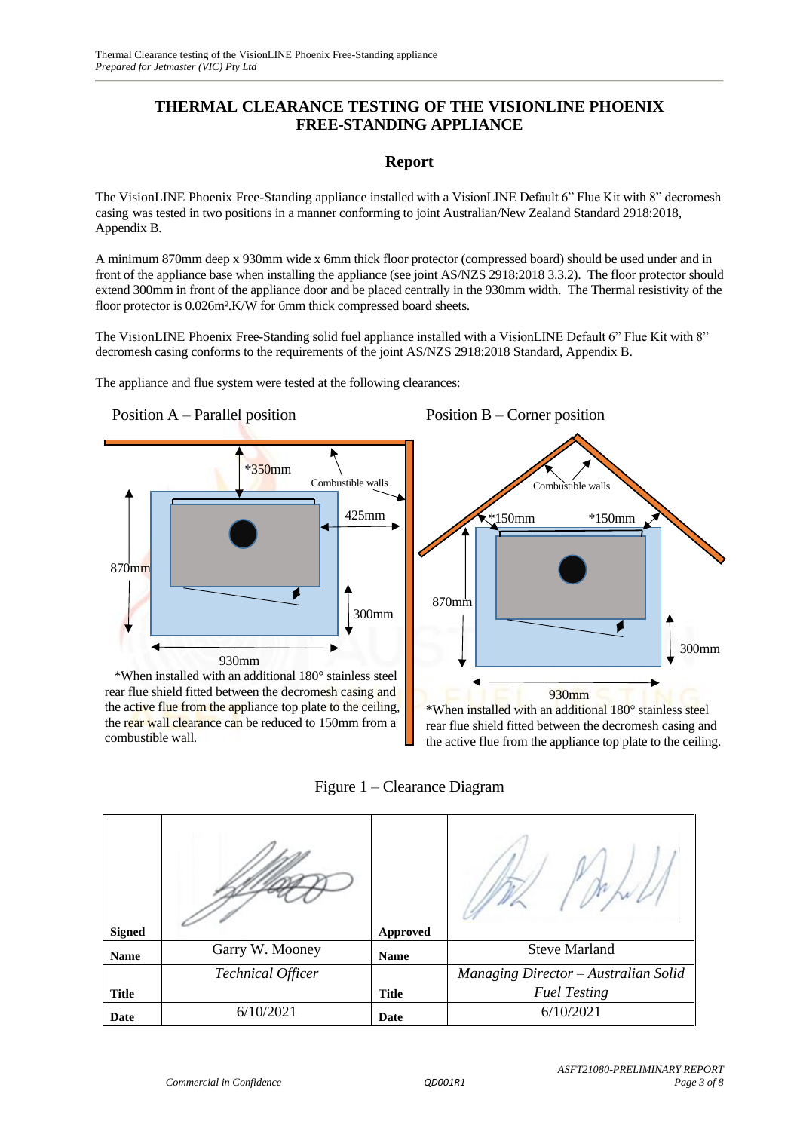#### **THERMAL CLEARANCE TESTING OF THE VISIONLINE PHOENIX FREE-STANDING APPLIANCE**

#### **Report**

The VisionLINE Phoenix Free-Standing appliance installed with a VisionLINE Default 6" Flue Kit with 8" decromesh casing was tested in two positions in a manner conforming to joint Australian/New Zealand Standard 2918:2018, Appendix B.

A minimum 870mm deep x 930mm wide x 6mm thick floor protector (compressed board) should be used under and in front of the appliance base when installing the appliance (see joint AS/NZS 2918:2018 3.3.2). The floor protector should extend 300mm in front of the appliance door and be placed centrally in the 930mm width. The Thermal resistivity of the floor protector is 0.026m².K/W for 6mm thick compressed board sheets.

The VisionLINE Phoenix Free-Standing solid fuel appliance installed with a VisionLINE Default 6" Flue Kit with 8" decromesh casing conforms to the requirements of the joint AS/NZS 2918:2018 Standard, Appendix B.

The appliance and flue system were tested at the following clearances:





\*When installed with an additional 180° stainless steel rear flue shield fitted between the decromesh casing and the active flue from the appliance top plate to the ceiling, the rear wall clearance can be reduced to 150mm from a combustible wall.



rear flue shield fitted between the decromesh casing and the active flue from the appliance top plate to the ceiling.

Figure 1 – Clearance Diagram

| <b>Signed</b> |                          | <b>Approved</b> |                                      |
|---------------|--------------------------|-----------------|--------------------------------------|
|               |                          |                 | <b>Steve Marland</b>                 |
| <b>Name</b>   | Garry W. Mooney          | <b>Name</b>     |                                      |
|               | <b>Technical Officer</b> |                 | Managing Director - Australian Solid |
| <b>Title</b>  |                          | <b>Title</b>    | <b>Fuel Testing</b>                  |
| Date          | 6/10/2021                | Date            | 6/10/2021                            |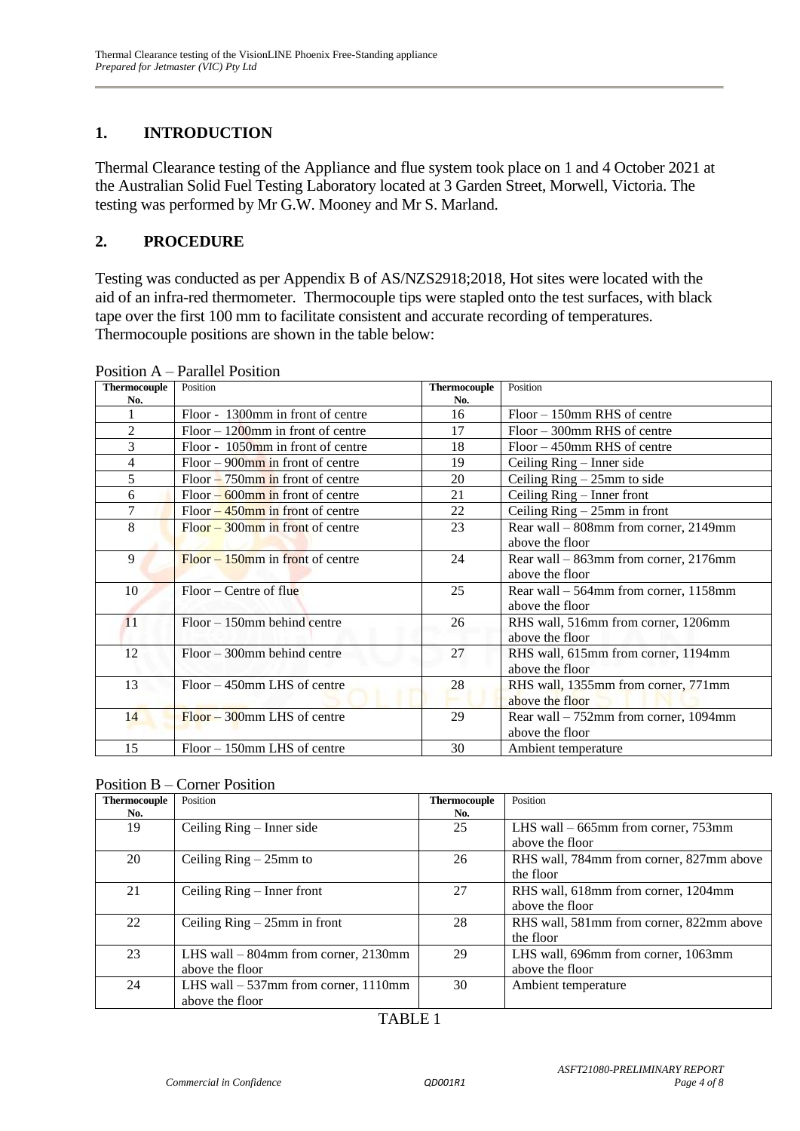## **1. INTRODUCTION**

Thermal Clearance testing of the Appliance and flue system took place on 1 and 4 October 2021 at the Australian Solid Fuel Testing Laboratory located at 3 Garden Street, Morwell, Victoria. The testing was performed by Mr G.W. Mooney and Mr S. Marland.

#### **2. PROCEDURE**

Testing was conducted as per Appendix B of AS/NZS2918;2018, Hot sites were located with the aid of an infra-red thermometer. Thermocouple tips were stapled onto the test surfaces, with black tape over the first 100 mm to facilitate consistent and accurate recording of temperatures. Thermocouple positions are shown in the table below:

| <b>Thermocouple</b> | Position                             | <b>Thermocouple</b> | Position                                |
|---------------------|--------------------------------------|---------------------|-----------------------------------------|
| No.                 |                                      | No.                 |                                         |
|                     | Floor - 1300mm in front of centre    | 16                  | $Floor - 150$ mm RHS of centre          |
| $\overline{2}$      | $Floor - 1200$ mm in front of centre | 17                  | $Floor - 300$ mm RHS of centre          |
| 3                   | Floor - 1050mm in front of centre    | 18                  | $Floor - 450$ mm RHS of centre          |
| 4                   | $Floor - 900$ mm in front of centre  | 19                  | Ceiling Ring – Inner side               |
| 5                   | $Floor - 750$ mm in front of centre  | 20                  | Ceiling $Ring - 25mm$ to side           |
| 6                   | $Floor - 600$ mm in front of centre  | 21                  | Ceiling Ring – Inner front              |
| 7                   | $Floor - 450$ mm in front of centre  | 22                  | Ceiling $Ring - 25mm$ in front          |
| 8                   | $Floor - 300$ mm in front of centre  | 23                  | Rear wall - 808mm from corner, 2149mm   |
|                     |                                      |                     | above the floor                         |
| 9                   | $Floor - 150$ mm in front of centre  | 24                  | Rear wall – 863mm from corner, 2176mm   |
|                     |                                      |                     | above the floor                         |
| 10                  | $Floor - Centre of flu$              | 25                  | Rear wall $-564$ mm from corner, 1158mm |
|                     |                                      |                     | above the floor                         |
| 11                  | $Floor - 150$ mm behind centre       | 26                  | RHS wall, 516mm from corner, 1206mm     |
|                     |                                      |                     | above the floor                         |
| 12                  | $Floor - 300$ mm behind centre       | 27                  | RHS wall, 615mm from corner, 1194mm     |
|                     |                                      |                     | above the floor                         |
| 13                  | $Floor - 450$ mm LHS of centre       | 28                  | RHS wall, 1355mm from corner, 771mm     |
|                     |                                      |                     | above the floor                         |
| 14                  | $Floor - 300$ mm LHS of centre       | 29                  | Rear wall – 752mm from corner, 1094mm   |
|                     |                                      |                     | above the floor                         |
| 15                  | Floor – 150mm LHS of centre          | 30                  | Ambient temperature                     |

Position A – Parallel Position

| Thermocouple | Position                               | <b>Thermocouple</b> | Position                                 |
|--------------|----------------------------------------|---------------------|------------------------------------------|
| No.          |                                        | No.                 |                                          |
| 19           | Ceiling $Ring - Inner side$            | 25                  | LHS wall $-665$ mm from corner, 753mm    |
|              |                                        |                     | above the floor                          |
| 20           | Ceiling $Ring - 25mm$ to               | 26                  | RHS wall, 784mm from corner, 827mm above |
|              |                                        |                     | the floor                                |
| 21           | Ceiling $Ring - Inner front$           | 27                  | RHS wall, 618mm from corner, 1204mm      |
|              |                                        |                     | above the floor                          |
| 22           | Ceiling $Ring - 25mm$ in front         | 28                  | RHS wall, 581mm from corner, 822mm above |
|              |                                        |                     | the floor                                |
| 23           | LHS wall $-$ 804mm from corner, 2130mm | 29                  | LHS wall, 696mm from corner, 1063mm      |
|              | above the floor                        |                     | above the floor                          |
| 24           | LHS wall $-537$ mm from corner, 1110mm | 30                  | Ambient temperature                      |
|              | above the floor                        |                     |                                          |

### TABLE 1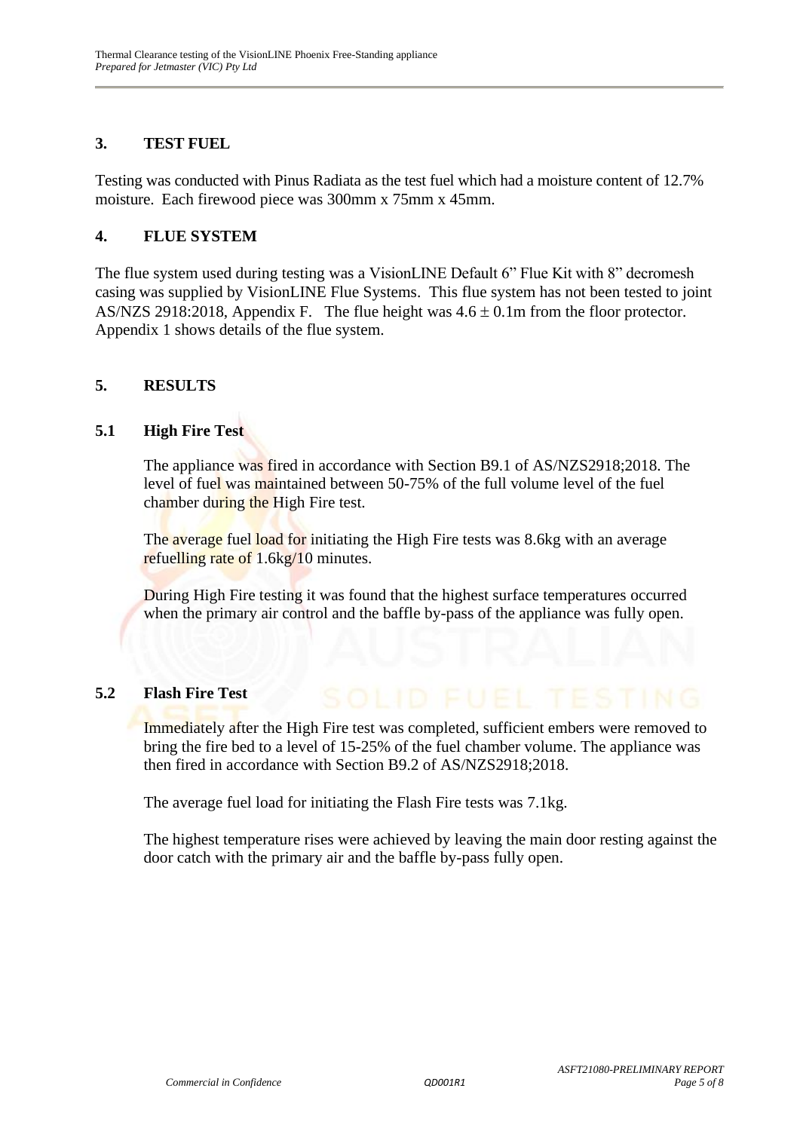#### **3. TEST FUEL**

Testing was conducted with Pinus Radiata as the test fuel which had a moisture content of 12.7% moisture. Each firewood piece was 300mm x 75mm x 45mm.

#### **4. FLUE SYSTEM**

The flue system used during testing was a VisionLINE Default 6" Flue Kit with 8" decromesh casing was supplied by VisionLINE Flue Systems. This flue system has not been tested to joint AS/NZS 2918:2018, Appendix F. The flue height was  $4.6 \pm 0.1$ m from the floor protector. Appendix 1 shows details of the flue system.

#### **5. RESULTS**

#### **5.1 High Fire Test**

The appliance was fired in accordance with Section B9.1 of AS/NZS2918;2018. The level of fuel was maintained between 50-75% of the full volume level of the fuel chamber during the High Fire test.

The average fuel load for initiating the High Fire tests was 8.6kg with an average refuelling rate of 1.6kg/10 minutes.

During High Fire testing it was found that the highest surface temperatures occurred when the primary air control and the baffle by-pass of the appliance was fully open.

#### **5.2 Flash Fire Test**

Immediately after the High Fire test was completed, sufficient embers were removed to bring the fire bed to a level of 15-25% of the fuel chamber volume. The appliance was then fired in accordance with Section B9.2 of AS/NZS2918;2018.

The average fuel load for initiating the Flash Fire tests was 7.1kg.

The highest temperature rises were achieved by leaving the main door resting against the door catch with the primary air and the baffle by-pass fully open.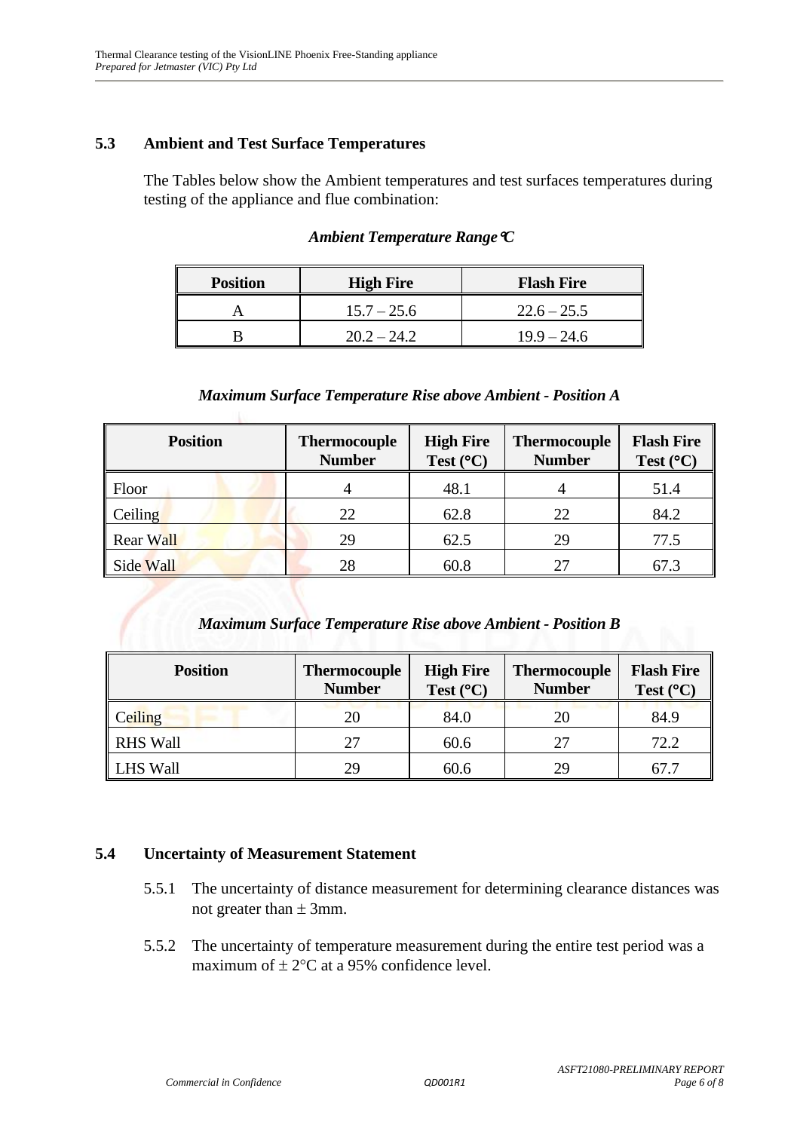#### **5.3 Ambient and Test Surface Temperatures**

The Tables below show the Ambient temperatures and test surfaces temperatures during testing of the appliance and flue combination:

| <b>Position</b> | <b>High Fire</b> | <b>Flash Fire</b> |
|-----------------|------------------|-------------------|
|                 | $15.7 - 25.6$    | $22.6 - 25.5$     |
|                 | $20.2 - 24.2$    | $19.9 - 24.6$     |

#### *Ambient Temperature RangeC*

#### *Maximum Surface Temperature Rise above Ambient - Position A*

| <b>Position</b>  | <b>Thermocouple</b><br><b>Number</b> | <b>High Fire</b><br>Test $(^{\circ}C)$ | <b>Thermocouple</b><br><b>Number</b> | <b>Flash Fire</b><br>Test $(^{\circ}C)$ |
|------------------|--------------------------------------|----------------------------------------|--------------------------------------|-----------------------------------------|
| Floor            |                                      | 48.1                                   |                                      | 51.4                                    |
| Ceiling          | 22                                   | 62.8                                   | 22                                   | 84.2                                    |
| <b>Rear Wall</b> | 29                                   | 62.5                                   | 29                                   | 77.5                                    |
| Side Wall        | 28                                   | 60.8                                   |                                      | 67.3                                    |

#### *Maximum Surface Temperature Rise above Ambient - Position B*

| <b>Position</b> | <b>Thermocouple</b><br><b>Number</b> | <b>High Fire</b><br>Test $(^{\circ}C)$ | <b>Thermocouple</b><br><b>Number</b> | <b>Flash Fire</b><br>Test $(^{\circ}C)$ |
|-----------------|--------------------------------------|----------------------------------------|--------------------------------------|-----------------------------------------|
| Ceiling         | 20                                   | 84.0                                   | 20                                   | 84.9                                    |
| <b>RHS Wall</b> | 27                                   | 60.6                                   | 27                                   | 72.2                                    |
| <b>LHS Wall</b> | 29                                   | 60.6                                   | 29                                   |                                         |

#### **5.4 Uncertainty of Measurement Statement**

- 5.5.1 The uncertainty of distance measurement for determining clearance distances was not greater than  $\pm$  3mm.
- 5.5.2 The uncertainty of temperature measurement during the entire test period was a maximum of  $\pm 2$ °C at a 95% confidence level.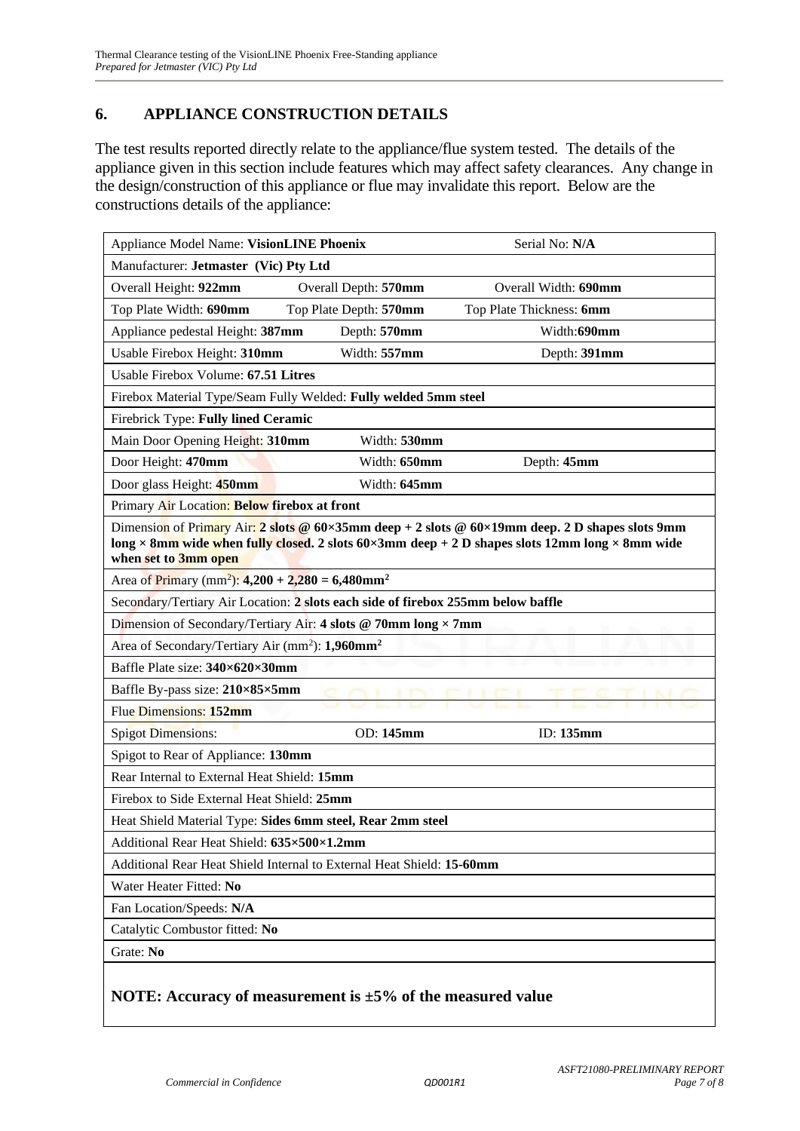#### **6. APPLIANCE CONSTRUCTION DETAILS**

The test results reported directly relate to the appliance/flue system tested. The details of the appliance given in this section include features which may affect safety clearances. Any change in the design/construction of this appliance or flue may invalidate this report. Below are the constructions details of the appliance:

| Appliance Model Name: VisionLINE Phoenix                                         |                        | Serial No: N/A                                                                                                                                                                                    |  |  |  |
|----------------------------------------------------------------------------------|------------------------|---------------------------------------------------------------------------------------------------------------------------------------------------------------------------------------------------|--|--|--|
| Manufacturer: Jetmaster (Vic) Pty Ltd                                            |                        |                                                                                                                                                                                                   |  |  |  |
| Overall Height: 922mm                                                            | Overall Depth: 570mm   | Overall Width: 690mm                                                                                                                                                                              |  |  |  |
| Top Plate Width: 690mm                                                           | Top Plate Depth: 570mm | Top Plate Thickness: 6mm                                                                                                                                                                          |  |  |  |
| Appliance pedestal Height: 387mm                                                 | Depth: 570mm           | Width:690mm                                                                                                                                                                                       |  |  |  |
| Usable Firebox Height: 310mm                                                     | Width: 557mm           | Depth: 391mm                                                                                                                                                                                      |  |  |  |
| Usable Firebox Volume: 67.51 Litres                                              |                        |                                                                                                                                                                                                   |  |  |  |
| Firebox Material Type/Seam Fully Welded: Fully welded 5mm steel                  |                        |                                                                                                                                                                                                   |  |  |  |
| Firebrick Type: Fully lined Ceramic                                              |                        |                                                                                                                                                                                                   |  |  |  |
| Main Door Opening Height: 310mm                                                  | Width: 530mm           |                                                                                                                                                                                                   |  |  |  |
| Door Height: 470mm                                                               | Width: 650mm           | Depth: 45mm                                                                                                                                                                                       |  |  |  |
| Door glass Height: 450mm                                                         | Width: 645mm           |                                                                                                                                                                                                   |  |  |  |
| Primary Air Location: Below firebox at front                                     |                        |                                                                                                                                                                                                   |  |  |  |
| when set to 3mm open                                                             |                        | Dimension of Primary Air: 2 slots @ 60×35mm deep + 2 slots @ 60×19mm deep. 2 D shapes slots 9mm<br>long × 8mm wide when fully closed. 2 slots 60×3mm deep + 2 D shapes slots 12mm long × 8mm wide |  |  |  |
| Area of Primary (mm <sup>2</sup> ): 4,200 + 2,280 = 6,480mm <sup>2</sup>         |                        |                                                                                                                                                                                                   |  |  |  |
| Secondary/Tertiary Air Location: 2 slots each side of firebox 255mm below baffle |                        |                                                                                                                                                                                                   |  |  |  |
| Dimension of Secondary/Tertiary Air: 4 slots @ 70mm long × 7mm                   |                        |                                                                                                                                                                                                   |  |  |  |
| Area of Secondary/Tertiary Air (mm <sup>2</sup> ): 1,960mm <sup>2</sup>          |                        |                                                                                                                                                                                                   |  |  |  |
| Baffle Plate size: 340×620×30mm                                                  |                        |                                                                                                                                                                                                   |  |  |  |
| Baffle By-pass size: 210×85×5mm                                                  |                        |                                                                                                                                                                                                   |  |  |  |
| Flue Dimensions: 152mm                                                           |                        |                                                                                                                                                                                                   |  |  |  |
| <b>Spigot Dimensions:</b>                                                        | OD: 145mm              | ID: 135mm                                                                                                                                                                                         |  |  |  |
| Spigot to Rear of Appliance: 130mm                                               |                        |                                                                                                                                                                                                   |  |  |  |
| Rear Internal to External Heat Shield: 15mm                                      |                        |                                                                                                                                                                                                   |  |  |  |
| Firebox to Side External Heat Shield: 25mm                                       |                        |                                                                                                                                                                                                   |  |  |  |
| Heat Shield Material Type: Sides 6mm steel, Rear 2mm steel                       |                        |                                                                                                                                                                                                   |  |  |  |
| Additional Rear Heat Shield: 635×500×1.2mm                                       |                        |                                                                                                                                                                                                   |  |  |  |
| Additional Rear Heat Shield Internal to External Heat Shield: 15-60mm            |                        |                                                                                                                                                                                                   |  |  |  |
| Water Heater Fitted: No                                                          |                        |                                                                                                                                                                                                   |  |  |  |
| Fan Location/Speeds: N/A                                                         |                        |                                                                                                                                                                                                   |  |  |  |
| Catalytic Combustor fitted: No                                                   |                        |                                                                                                                                                                                                   |  |  |  |
| Grate: No                                                                        |                        |                                                                                                                                                                                                   |  |  |  |
| NOTE: Accuracy of measurement is $\pm 5\%$ of the measured value                 |                        |                                                                                                                                                                                                   |  |  |  |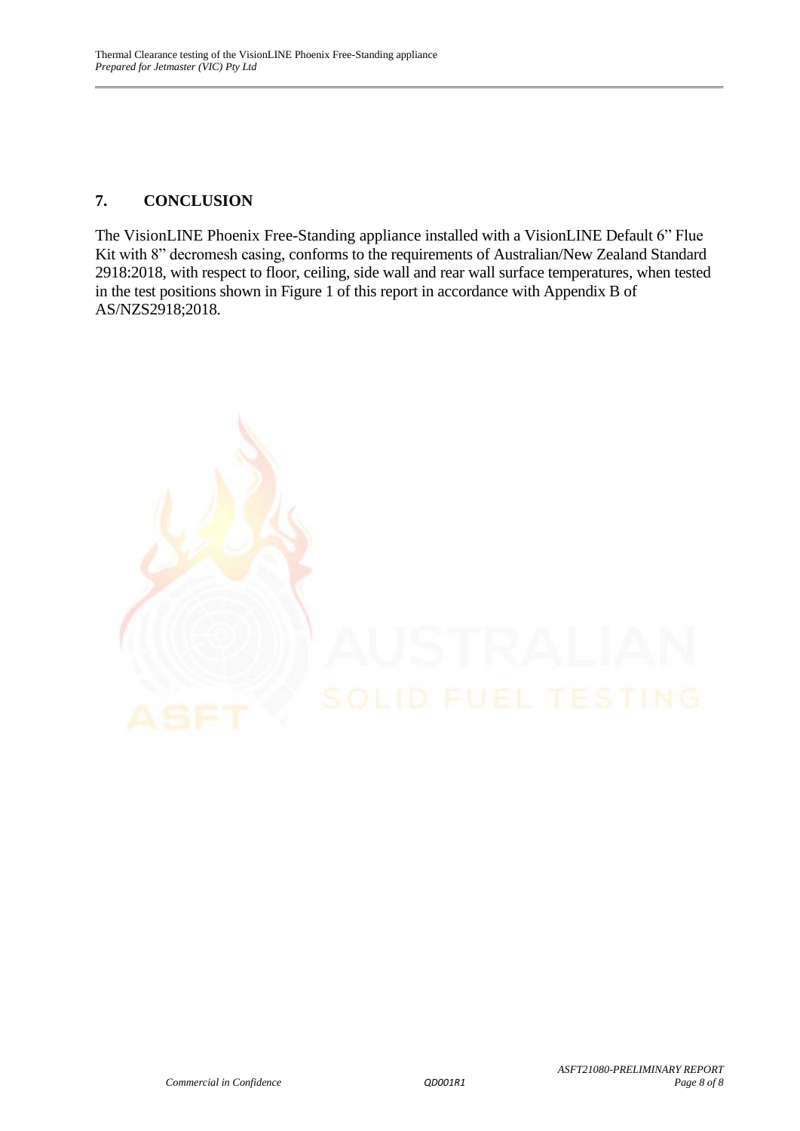#### **7. CONCLUSION**

The VisionLINE Phoenix Free-Standing appliance installed with a VisionLINE Default 6" Flue Kit with 8" decromesh casing, conforms to the requirements of Australian/New Zealand Standard 2918:2018, with respect to floor, ceiling, side wall and rear wall surface temperatures, when tested in the test positions shown in Figure 1 of this report in accordance with Appendix B of AS/NZS2918;2018.